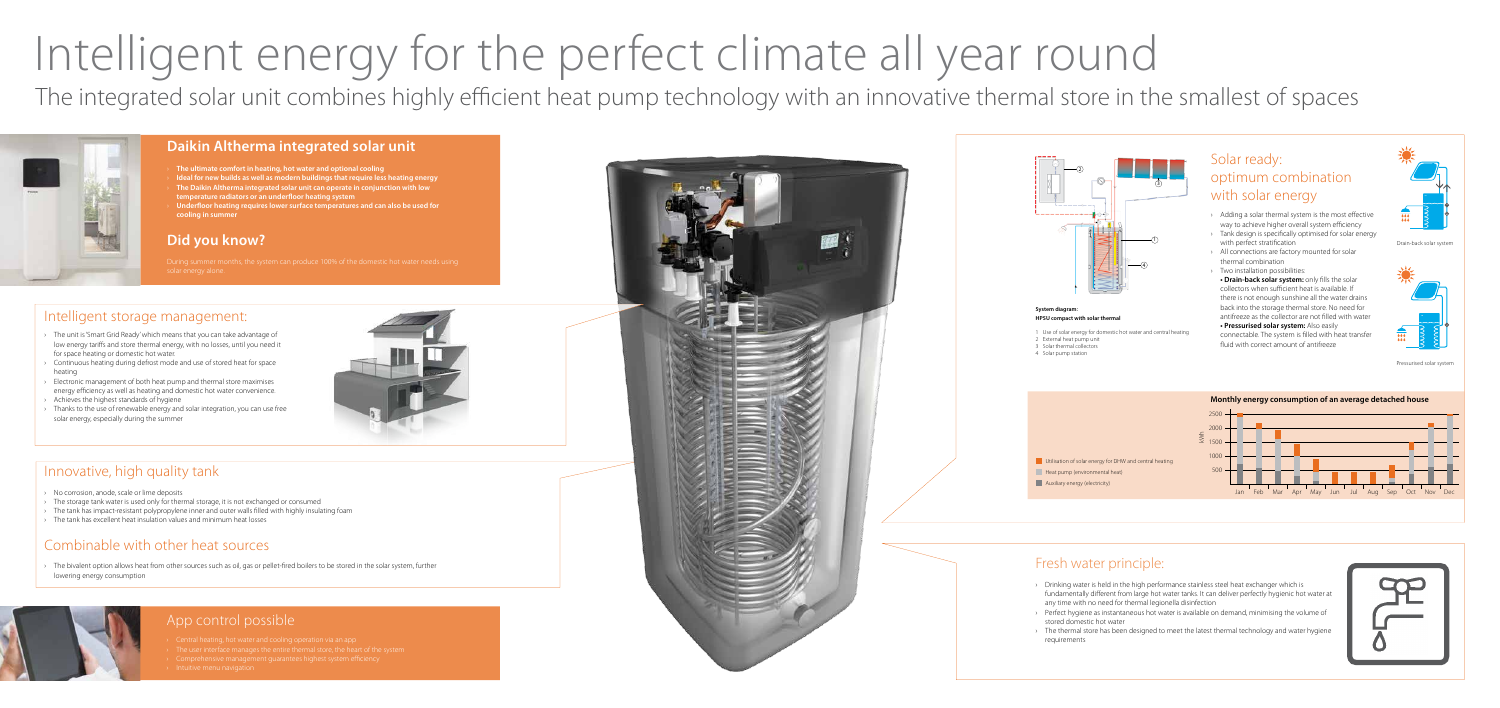# Intelligent energy for the perfect climate all year round

#### **Daikin Altherma integrated solar unit**

- › **The ultimate comfort in heating, hot water and optional cooling**
- › **Ideal for new builds as well as modern buildings that require less heating energy**
- › **The Daikin Altherma integrated solar unit can operate in conjunction with low temperature radiators or an underfloor heating system**
- › **Underfloor heating requires lower surface temperatures and can also be used for cooling in summer**

#### **Did you know?**

solar energy alone.

#### Fresh water principle:

### Solar ready: optimum combination with solar energy

- › Drinking water is held in the high performance stainless steel heat exchanger which is fundamentally different from large hot water tanks. It can deliver perfectly hygienic hot water at any time with no need for thermal legionella disinfection
- › Perfect hygiene as instantaneous hot water is available on demand, minimising the volume of stored domestic hot water
- › The thermal store has been designed to meet the latest thermal technology and water hygiene requirements



#### **System diagram: HPSU compact with solar thermal**

- 1 Use of solar energy for domestic hot water and central heating
- 2 External heat pump unit
- 3 Solar thermal collectors
- 4 Solar pump station

The bivalent option allows heat from other sources such as oil, gas or pellet-fired boilers to be stored in the solar system, further lowering energy consumption





- › Adding a solar thermal system is the most effective way to achieve higher overall system efficiency › Tank design is specifically optimised for solar energy
- with perfect stratification
- › All connections are factory mounted for solar thermal combination
- › Two installation possibilities:

- The unit is 'Smart Grid Ready' which means that you can take advantage of low energy tariffs and store thermal energy, with no losses, until you need it for space heating or domestic hot water.
- Continuous heating during defrost mode and use of stored heat for space heating
- › Electronic management of both heat pump and thermal store maximises energy efficiency as well as heating and domestic hot water convenience.
- Achieves the highest standards of hygiene
- Thanks to the use of renewable energy and solar integration, you can use free solar energy, especially during the summer

**• Drain-back solar system:** only fills the solar collectors when sufficient heat is available. If there is not enough sunshine all the water drains back into the storage thermal store. No need for antifreeze as the collector are not filled with water **• Pressurised solar system:** Also easily connectable. The system is filled with heat transfer fluid with correct amount of antifreeze



#### Innovative, high quality tank

- › No corrosion, anode, scale or lime deposits
- › The storage tank water is used only for thermal storage, it is not exchanged or consumed
- › The tank has impact-resistant polypropylene inner and outer walls filled with highly insulating foam
- › The tank has excellent heat insulation values and minimum heat losses

## Combinable with other heat sources

#### App control possible

- 
- 
- 
- 





#### Intelligent storage management:



The integrated solar unit combines highly efficient heat pump technology with an innovative thermal store in the smallest of spaces



Drain-back solar system

Pressurised solar system